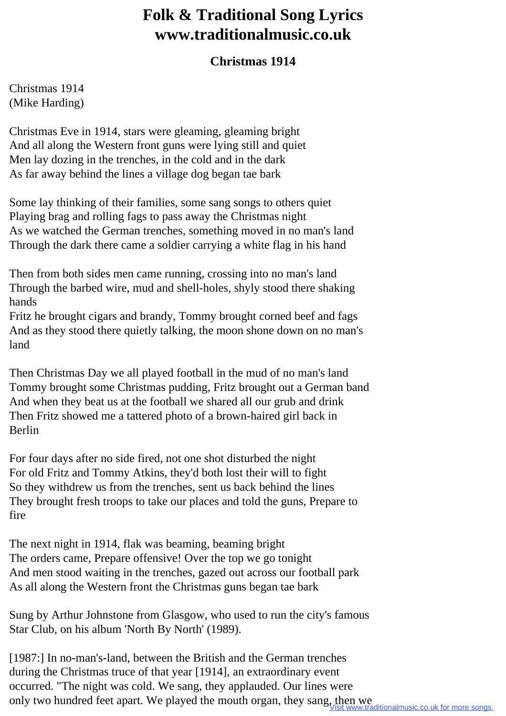## **Folk & Traditional Song Lyrics www.traditionalmusic.co.uk**

## **Christmas 1914**

Christmas 1914 (Mike Harding)

Christmas Eve in 1914, stars were gleaming, gleaming bright And all along the Western front guns were lying still and quiet Men lay dozing in the trenches, in the cold and in the dark As far away behind the lines a village dog began tae bark

Some lay thinking of their families, some sang songs to others quiet Playing brag and rolling fags to pass away the Christmas night As we watched the German trenches, something moved in no man's land Through the dark there came a soldier carrying a white flag in his hand

Then from both sides men came running, crossing into no man's land Through the barbed wire, mud and shell-holes, shyly stood there shaking hands

Fritz he brought cigars and brandy, Tommy brought corned beef and fags And as they stood there quietly talking, the moon shone down on no man's land

Then Christmas Day we all played football in the mud of no man's land Tommy brought some Christmas pudding, Fritz brought out a German band And when they beat us at the football we shared all our grub and drink Then Fritz showed me a tattered photo of a brown-haired girl back in Berlin

For four days after no side fired, not one shot disturbed the night For old Fritz and Tommy Atkins, they'd both lost their will to fight So they withdrew us from the trenches, sent us back behind the lines They brought fresh troops to take our places and told the guns, Prepare to fire

The next night in 1914, flak was beaming, beaming bright The orders came, Prepare offensive! Over the top we go tonight And men stood waiting in the trenches, gazed out across our football park As all along the Western front the Christmas guns began tae bark

Sung by Arthur Johnstone from Glasgow, who used to run the city's famous Star Club, on his album 'North By North' (1989).

[1987:] In no-man's-land, between the British and the German trenches during the Christmas truce of that year [1914], an extraordinary event occurred. "The night was cold. We sang, they applauded. Our lines were only two hundred feet apart. We played the mouth organ, they sang, then we Visit www.traditionalmusic.co.uk for more songs.